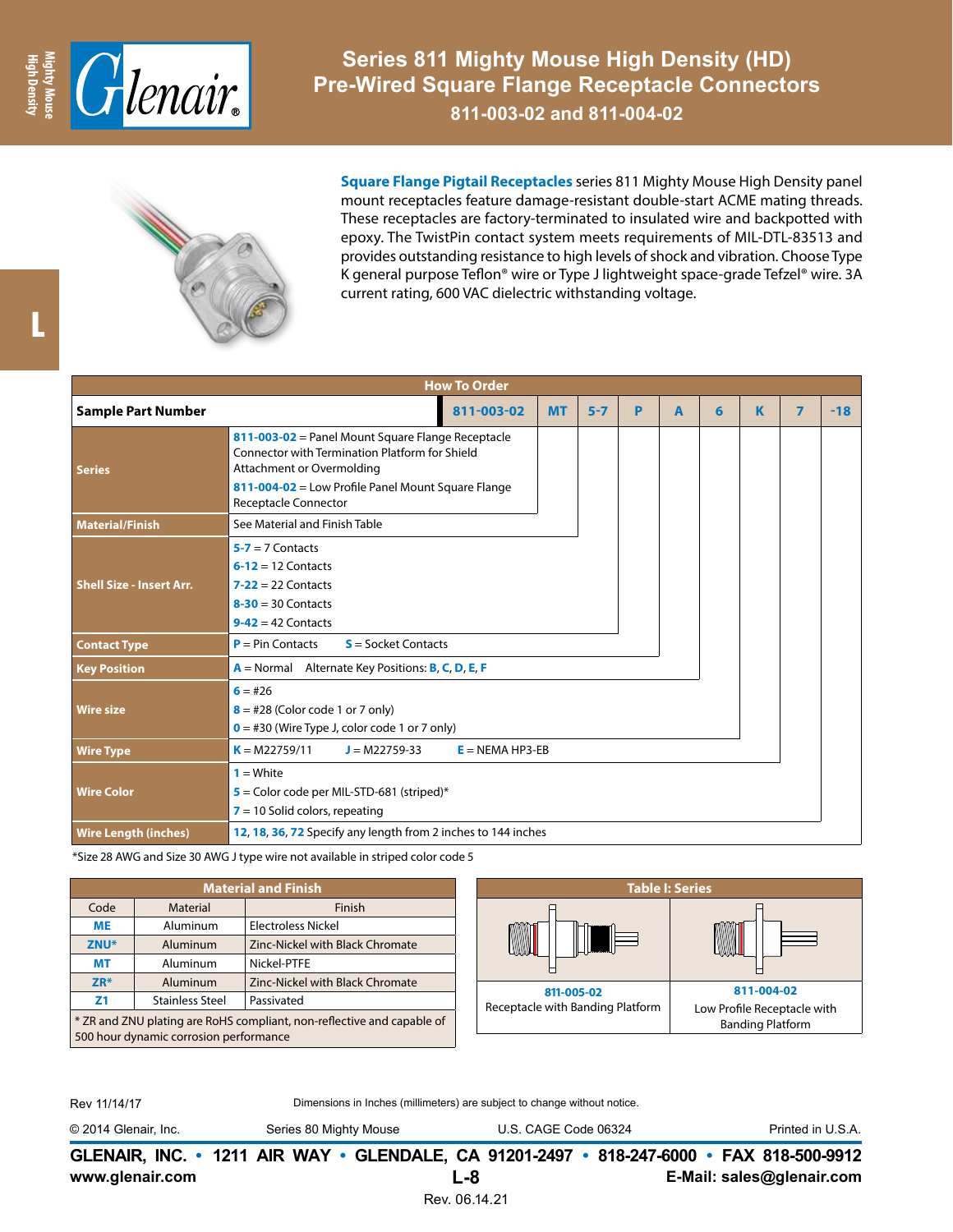

**Series 811 Mighty Mouse High Density (HD) Pre-Wired Square Flange Receptacle Connectors**

**811-003-02 and 811-004-02**



**Square Flange Pigtail Receptacles** series 811 Mighty Mouse High Density panel mount receptacles feature damage-resistant double-start ACME mating threads. These receptacles are factory-terminated to insulated wire and backpotted with epoxy. The TwistPin contact system meets requirements of MIL-DTL-83513 and provides outstanding resistance to high levels of shock and vibration. Choose Type K general purpose Teflon® wire or Type J lightweight space-grade Tefzel® wire. 3A current rating, 600 VAC dielectric withstanding voltage.

| <b>How To Order</b>             |                                                                                                                                                                                                                |           |         |   |   |   |   |                |       |  |  |
|---------------------------------|----------------------------------------------------------------------------------------------------------------------------------------------------------------------------------------------------------------|-----------|---------|---|---|---|---|----------------|-------|--|--|
| <b>Sample Part Number</b>       | 811-003-02                                                                                                                                                                                                     | <b>MT</b> | $5 - 7$ | P | A | 6 | K | $\overline{ }$ | $-18$ |  |  |
| <b>Series</b>                   | 811-003-02 = Panel Mount Square Flange Receptacle<br>Connector with Termination Platform for Shield<br>Attachment or Overmolding<br>811-004-02 = Low Profile Panel Mount Square Flange<br>Receptacle Connector |           |         |   |   |   |   |                |       |  |  |
| <b>Material/Finish</b>          | See Material and Finish Table                                                                                                                                                                                  |           |         |   |   |   |   |                |       |  |  |
| <b>Shell Size - Insert Arr.</b> | $5 - 7 = 7$ Contacts<br>$6-12 = 12$ Contacts<br>$7-22 = 22$ Contacts<br>$8-30 = 30$ Contacts<br>$9-42 = 42$ Contacts                                                                                           |           |         |   |   |   |   |                |       |  |  |
| <b>Contact Type</b>             | $P = Pin$ Contacts<br>$S =$ Socket Contacts                                                                                                                                                                    |           |         |   |   |   |   |                |       |  |  |
| <b>Key Position</b>             | $A =$ Normal Alternate Key Positions: <b>B, C, D, E, F</b>                                                                                                                                                     |           |         |   |   |   |   |                |       |  |  |
| <b>Wire size</b>                | $6 = #26$<br>$8 = #28$ (Color code 1 or 7 only)<br>$\mathbf{0}$ = #30 (Wire Type J, color code 1 or 7 only)                                                                                                    |           |         |   |   |   |   |                |       |  |  |
| <b>Wire Type</b>                | $K = M22759/11$<br>$J = M22759-33$<br>$E = NEMA HP3-EB$                                                                                                                                                        |           |         |   |   |   |   |                |       |  |  |
| <b>Wire Color</b>               | $1 = White$<br>$5$ = Color code per MIL-STD-681 (striped)*<br>$7 = 10$ Solid colors, repeating                                                                                                                 |           |         |   |   |   |   |                |       |  |  |
| <b>Wire Length (inches)</b>     | 12, 18, 36, 72 Specify any length from 2 inches to 144 inches                                                                                                                                                  |           |         |   |   |   |   |                |       |  |  |

\*Size 28 AWG and Size 30 AWG J type wire not available in striped color code 5

| <b>Material and Finish</b>                                                                                       |                        |                                 |                                                | <b>Table I: Series</b>      |  |  |
|------------------------------------------------------------------------------------------------------------------|------------------------|---------------------------------|------------------------------------------------|-----------------------------|--|--|
| Code                                                                                                             | Material               | Finish                          |                                                |                             |  |  |
| <b>ME</b>                                                                                                        | Aluminum               | Electroless Nickel              |                                                |                             |  |  |
| ZNU <sup>*</sup>                                                                                                 | <b>Aluminum</b>        | Zinc-Nickel with Black Chromate | <b>WWW L</b>                                   |                             |  |  |
| <b>MT</b>                                                                                                        | Aluminum               | Nickel-PTFE                     |                                                |                             |  |  |
| $ZR*$                                                                                                            | Aluminum               | Zinc-Nickel with Black Chromate |                                                | 811-004-02                  |  |  |
| Z <sub>1</sub>                                                                                                   | <b>Stainless Steel</b> | Passivated                      | 811-005-02<br>Receptacle with Banding Platform | Low Profile Receptacle with |  |  |
| * ZR and ZNU plating are RoHS compliant, non-reflective and capable of<br>500 hour dynamic corrosion performance |                        |                                 |                                                | <b>Banding Platform</b>     |  |  |
|                                                                                                                  |                        |                                 |                                                |                             |  |  |

L

Rev 11/14/17

Dimensions in Inches (millimeters) are subject to change without notice.

© 2014 Glenair, Inc. Series 80 Mighty Mouse U.S. CAGE Code 06324 Printed in U.S.A.

**www.glenair.com E-Mail: sales@glenair.com GLENAIR, INC. • 1211 AIR WAY • GLENDALE, CA 91201-2497 • 818-247-6000 • FAX 818-500-9912 L-8**

Rev. 06.14.21